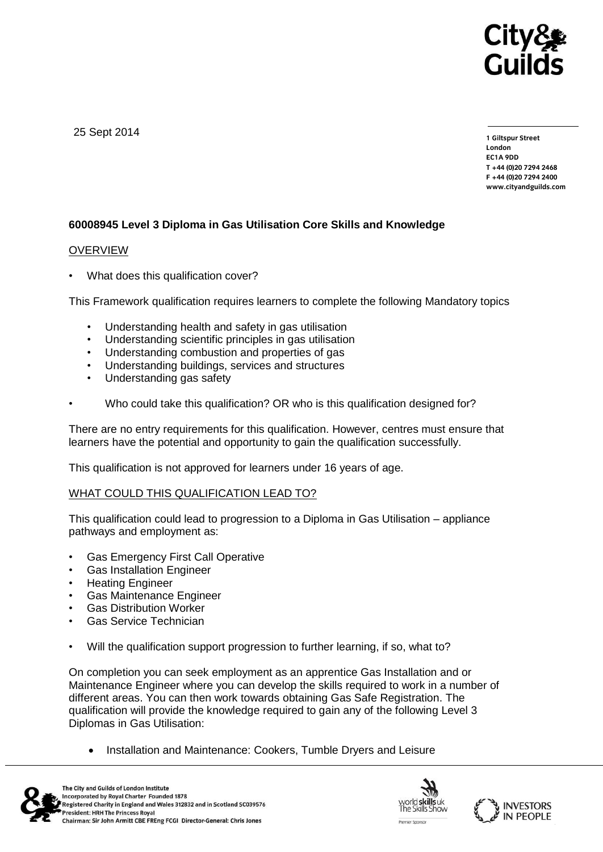

25 Sept 2014

**1 Giltspur Street EC1A 9DD** T +44 (0) 20 7 294 2468 **T +44 (0)20 7294 246[8](http://www.cityandguilds.com/) F +44 (0)20 7294 2400 [www.cityandguilds.com](http://www.cityandguilds.com/)**

## **60008945 Level 3 Diploma in Gas Utilisation Core Skills and Knowledge**

#### OVERVIEW

What does this qualification cover?

This Framework qualification requires learners to complete the following Mandatory topics

- Understanding health and safety in gas utilisation
- Understanding scientific principles in gas utilisation
- Understanding combustion and properties of gas
- Understanding buildings, services and structures
- Understanding gas safety
- Who could take this qualification? OR who is this qualification designed for?

There are no entry requirements for this qualification. However, centres must ensure that learners have the potential and opportunity to gain the qualification successfully.

This qualification is not approved for learners under 16 years of age.

### WHAT COULD THIS QUALIFICATION LEAD TO?

This qualification could lead to progression to a Diploma in Gas Utilisation – appliance pathways and employment as:

- Gas Emergency First Call Operative
- Gas Installation Engineer
- **Heating Engineer**
- Gas Maintenance Engineer
- Gas Distribution Worker
- Gas Service Technician
- Will the qualification support progression to further learning, if so, what to?

On completion you can seek employment as an apprentice Gas Installation and or Maintenance Engineer where you can develop the skills required to work in a number of different areas. You can then work towards obtaining Gas Safe Registration. The qualification will provide the knowledge required to gain any of the following Level 3 Diplomas in Gas Utilisation:

• Installation and Maintenance: Cookers, Tumble Dryers and Leisure